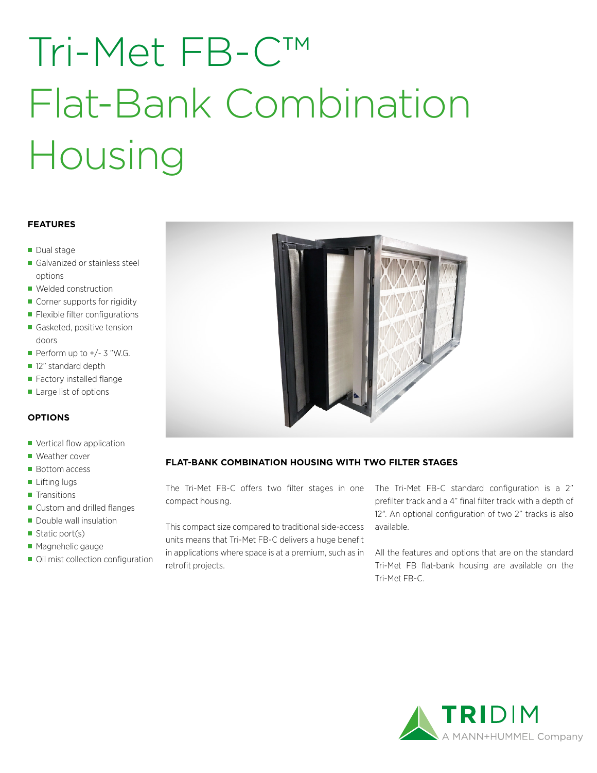# Tri-Met FB-C™ Flat-Bank Combination Housing

#### **FEATURES**

- Dual stage
- Galvanized or stainless steel options
- Welded construction
- Corner supports for rigidity
- **Flexible filter configurations**
- Gasketed, positive tension doors
- Perform up to  $+/- 3$  "W.G.
- 12" standard depth
- Factory installed flange
- Large list of options

### **OPTIONS**

- Vertical flow application
- Weather cover
- Bottom access
- **Lifting lugs**
- **Transitions**
- Custom and drilled flanges
- Double wall insulation
- Static port(s)
- **Magnehelic gauge**
- Oil mist collection configuration



## **FLAT-BANK COMBINATION HOUSING WITH TWO FILTER STAGES**

The Tri-Met FB-C offers two filter stages in one compact housing.

This compact size compared to traditional side-access units means that Tri-Met FB-C delivers a huge benefit in applications where space is at a premium, such as in retrofit projects.

The Tri-Met FB-C standard configuration is a 2" prefilter track and a 4" final filter track with a depth of 12". An optional configuration of two 2" tracks is also available.

All the features and options that are on the standard Tri-Met FB flat-bank housing are available on the Tri-Met FB-C.